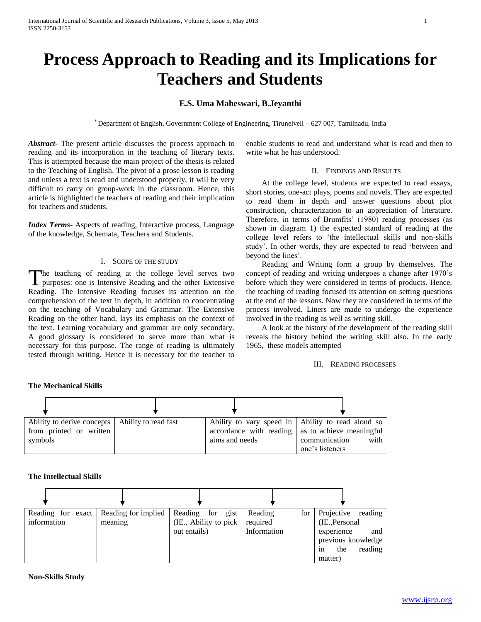# **Process Approach to Reading and its Implications for Teachers and Students**

# **E.S. Uma Maheswari, B.Jeyanthi**

\* Department of English, Government College of Engineering, Tirunelveli – 627 007, Tamilnadu, India

*Abstract***-** The present article discusses the process approach to reading and its incorporation in the teaching of literary texts. This is attempted because the main project of the thesis is related to the Teaching of English. The pivot of a prose lesson is reading and unless a text is read and understood properly, it will be very difficult to carry on group-work in the classroom. Hence, this article is highlighted the teachers of reading and their implication for teachers and students.

*Index Terms*- Aspects of reading, Interactive process, Language of the knowledge, Schemata, Teachers and Students.

## I. SCOPE OF THE STUDY

he teaching of reading at the college level serves two The teaching of reading at the college level serves two purposes: one is Intensive Reading and the other Extensive Reading. The Intensive Reading focuses its attention on the comprehension of the text in depth, in addition to concentrating on the teaching of Vocabulary and Grammar. The Extensive Reading on the other hand, lays its emphasis on the context of the text. Learning vocabulary and grammar are only secondary. A good glossary is considered to serve more than what is necessary for this purpose. The range of reading is ultimately tested through writing. Hence it is necessary for the teacher to

enable students to read and understand what is read and then to write what he has understood.

## II. FINDINGS AND RESULTS

 At the college level, students are expected to read essays, short stories, one-act plays, poems and novels. They are expected to read them in depth and answer questions about plot construction, characterization to an appreciation of literature. Therefore, in terms of Brumfits' (1980) reading processes (as shown in diagram 1) the expected standard of reading at the college level refers to 'the intellectual skills and non-skills study'. In other words, they are expected to read 'between and beyond the lines'.

 Reading and Writing form a group by themselves. The concept of reading and writing undergoes a change after 1970's before which they were considered in terms of products. Hence, the teaching of reading focused its attention on setting questions at the end of the lessons. Now they are considered in terms of the process involved. Liners are made to undergo the experience involved in the reading as well as writing skill.

 A look at the history of the development of the reading skill reveals the history behind the writing skill also. In the early 1965, these models attempted

III. READING PROCESSES

#### **The Mechanical Skills**



#### **The Intellectual Skills**

| Reading for exact<br>information | Reading for implied<br>meaning | Reading for<br>gist<br>(IE., Ability to pick)<br>out entails) | Reading<br>for<br>required<br>Information | Projective<br>reading<br>(IE., Personal<br>experience<br>and<br>previous knowledge<br>reading<br>the<br>1n<br>matter) |
|----------------------------------|--------------------------------|---------------------------------------------------------------|-------------------------------------------|-----------------------------------------------------------------------------------------------------------------------|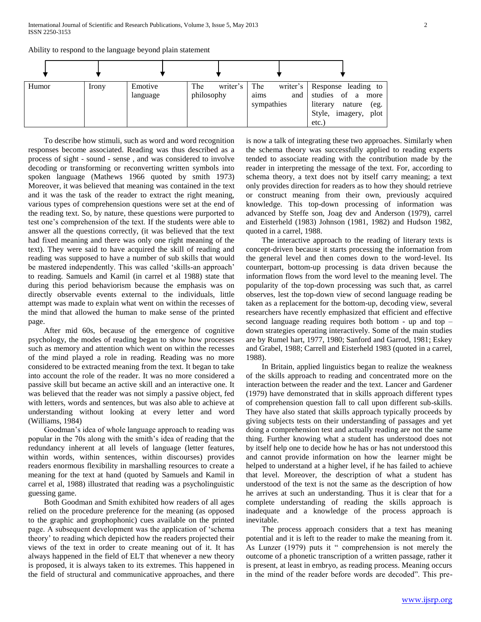Ability to respond to the language beyond plain statement

| Humor | <i>lrony</i> | Emotive<br>language | The<br>writer's<br>philosophy | The<br>and<br>aims<br>sympathies | writer's Response leading to<br>studies of a more<br>literary<br>nature<br>(eg.<br>imagery, plot<br>Style,<br>etc. |
|-------|--------------|---------------------|-------------------------------|----------------------------------|--------------------------------------------------------------------------------------------------------------------|

 To describe how stimuli, such as word and word recognition responses become associated. Reading was thus described as a process of sight - sound - sense , and was considered to involve decoding or transforming or reconverting written symbols into spoken language (Mathews 1966 quoted by smith 1973) Moreover, it was believed that meaning was contained in the text and it was the task of the reader to extract the right meaning, various types of comprehension questions were set at the end of the reading text. So, by nature, these questions were purported to test one's comprehension of the text. If the students were able to answer all the questions correctly, (it was believed that the text had fixed meaning and there was only one right meaning of the text). They were said to have acquired the skill of reading and reading was supposed to have a number of sub skills that would be mastered independently. This was called 'skills-an approach' to reading. Samuels and Kamil (in carrel et al 1988) state that during this period behaviorism because the emphasis was on directly observable events external to the individuals, little attempt was made to explain what went on within the recesses of the mind that allowed the human to make sense of the printed page.

 After mid 60s, because of the emergence of cognitive psychology, the modes of reading began to show how processes such as memory and attention which went on within the recesses of the mind played a role in reading. Reading was no more considered to be extracted meaning from the text. It began to take into account the role of the reader. It was no more considered a passive skill but became an active skill and an interactive one. It was believed that the reader was not simply a passive object, fed with letters, words and sentences, but was also able to achieve at understanding without looking at every letter and word (Williams, 1984)

 Goodman's idea of whole language approach to reading was popular in the 70s along with the smith's idea of reading that the redundancy inherent at all levels of language (letter features, within words, within sentences, within discourses) provides readers enormous flexibility in marshalling resources to create a meaning for the text at hand (quoted by Samuels and Kamil in carrel et al, 1988) illustrated that reading was a psycholinguistic guessing game.

 Both Goodman and Smith exhibited how readers of all ages relied on the procedure preference for the meaning (as opposed to the graphic and grophophonic) cues available on the printed page. A subsequent development was the application of 'schema theory' to reading which depicted how the readers projected their views of the text in order to create meaning out of it. It has always happened in the field of ELT that whenever a new theory is proposed, it is always taken to its extremes. This happened in the field of structural and communicative approaches, and there

is now a talk of integrating these two approaches. Similarly when the schema theory was successfully applied to reading experts tended to associate reading with the contribution made by the reader in interpreting the message of the text. For, according to schema theory, a text does not by itself carry meaning; a text only provides direction for readers as to how they should retrieve or construct meaning from their own, previously acquired knowledge. This top-down processing of information was advanced by Steffe son, Joag dev and Anderson (1979), carrel and Eisterheld (1983) Johnson (1981, 1982) and Hudson 1982, quoted in a carrel, 1988.

 The interactive approach to the reading of literary texts is concept-driven because it starts processing the information from the general level and then comes down to the word-level. Its counterpart, bottom-up processing is data driven because the information flows from the word level to the meaning level. The popularity of the top-down processing was such that, as carrel observes, lest the top-down view of second language reading be taken as a replacement for the bottom-up, decoding view, several researchers have recently emphasized that efficient and effective second language reading requires both bottom - up and top – down strategies operating interactively. Some of the main studies are by Rumel hart, 1977, 1980; Sanford and Garrod, 1981; Eskey and Grabel, 1988; Carrell and Eisterheld 1983 (quoted in a carrel, 1988).

 In Britain, applied linguistics began to realize the weakness of the skills approach to reading and concentrated more on the interaction between the reader and the text. Lancer and Gardener (1979) have demonstrated that in skills approach different types of comprehension question fall to call upon different sub-skills. They have also stated that skills approach typically proceeds by giving subjects tests on their understanding of passages and yet doing a comprehension test and actually reading are not the same thing. Further knowing what a student has understood does not by itself help one to decide how he has or has not understood this and cannot provide information on how the learner might be helped to understand at a higher level, if he has failed to achieve that level. Moreover, the description of what a student has understood of the text is not the same as the description of how he arrives at such an understanding. Thus it is clear that for a complete understanding of reading the skills approach is inadequate and a knowledge of the process approach is inevitable.

 The process approach considers that a text has meaning potential and it is left to the reader to make the meaning from it. As Lunzer (1979) puts it " comprehension is not merely the outcome of a phonetic transcription of a written passage, rather it is present, at least in embryo, as reading process. Meaning occurs in the mind of the reader before words are decoded". This pre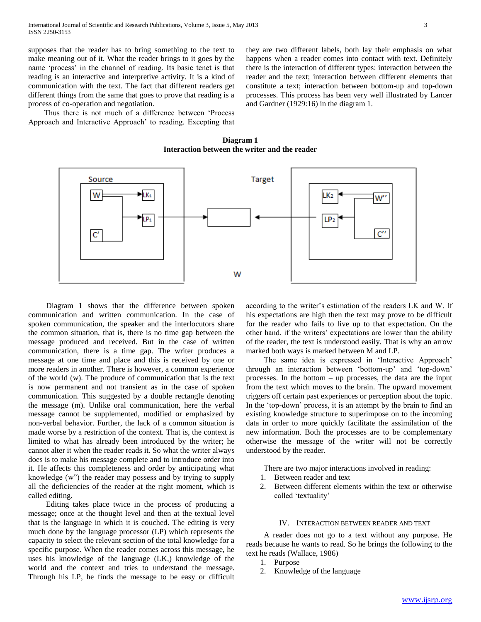supposes that the reader has to bring something to the text to make meaning out of it. What the reader brings to it goes by the name 'process' in the channel of reading. Its basic tenet is that reading is an interactive and interpretive activity. It is a kind of communication with the text. The fact that different readers get different things from the same that goes to prove that reading is a process of co-operation and negotiation.

 Thus there is not much of a difference between 'Process Approach and Interactive Approach' to reading. Excepting that they are two different labels, both lay their emphasis on what happens when a reader comes into contact with text. Definitely there is the interaction of different types: interaction between the reader and the text; interaction between different elements that constitute a text; interaction between bottom-up and top-down processes. This process has been very well illustrated by Lancer and Gardner (1929:16) in the diagram 1.

**Diagram 1 Interaction between the writer and the reader**



 Diagram 1 shows that the difference between spoken communication and written communication. In the case of spoken communication, the speaker and the interlocutors share the common situation, that is, there is no time gap between the message produced and received. But in the case of written communication, there is a time gap. The writer produces a message at one time and place and this is received by one or more readers in another. There is however, a common experience of the world (w). The produce of communication that is the text is now permanent and not transient as in the case of spoken communication. This suggested by a double rectangle denoting the message (m). Unlike oral communication, here the verbal message cannot be supplemented, modified or emphasized by non-verbal behavior. Further, the lack of a common situation is made worse by a restriction of the context. That is, the context is limited to what has already been introduced by the writer; he cannot alter it when the reader reads it. So what the writer always does is to make his message complete and to introduce order into it. He affects this completeness and order by anticipating what knowledge (w") the reader may possess and by trying to supply all the deficiencies of the reader at the right moment, which is called editing.

 Editing takes place twice in the process of producing a message; once at the thought level and then at the textual level that is the language in which it is couched. The editing is very much done by the language processor (LP) which represents the capacity to select the relevant section of the total knowledge for a specific purpose. When the reader comes across this message, he uses his knowledge of the language (LK,) knowledge of the world and the context and tries to understand the message. Through his LP, he finds the message to be easy or difficult according to the writer's estimation of the readers LK and W. If his expectations are high then the text may prove to be difficult for the reader who fails to live up to that expectation. On the other hand, if the writers' expectations are lower than the ability of the reader, the text is understood easily. That is why an arrow marked both ways is marked between M and LP.

 The same idea is expressed in 'Interactive Approach' through an interaction between 'bottom-up' and 'top-down' processes. In the bottom – up processes, the data are the input from the text which moves to the brain. The upward movement triggers off certain past experiences or perception about the topic. In the 'top-down' process, it is an attempt by the brain to find an existing knowledge structure to superimpose on to the incoming data in order to more quickly facilitate the assimilation of the new information. Both the processes are to be complementary otherwise the message of the writer will not be correctly understood by the reader.

There are two major interactions involved in reading:

- 1. Between reader and text
- 2. Between different elements within the text or otherwise called 'textuality'

## IV. INTERACTION BETWEEN READER AND TEXT

 A reader does not go to a text without any purpose. He reads because he wants to read. So he brings the following to the text he reads (Wallace, 1986)

- 1. Purpose
- 2. Knowledge of the language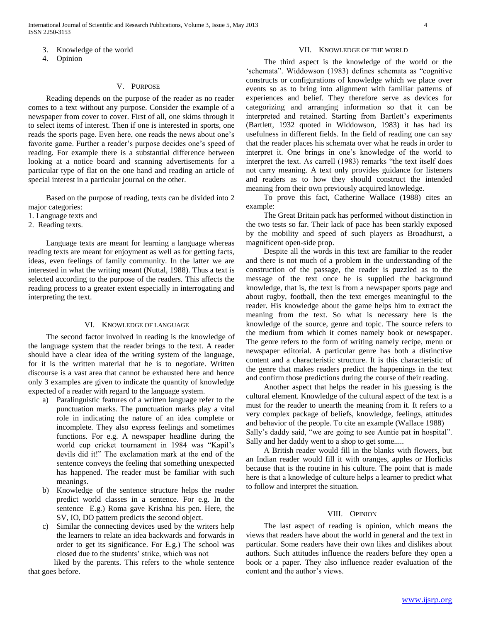- 3. Knowledge of the world
- 4. Opinion

# V. PURPOSE

 Reading depends on the purpose of the reader as no reader comes to a text without any purpose. Consider the example of a newspaper from cover to cover. First of all, one skims through it to select items of interest. Then if one is interested in sports, one reads the sports page. Even here, one reads the news about one's favorite game. Further a reader's purpose decides one's speed of reading. For example there is a substantial difference between looking at a notice board and scanning advertisements for a particular type of flat on the one hand and reading an article of special interest in a particular journal on the other.

 Based on the purpose of reading, texts can be divided into 2 major categories:

1. Language texts and

2. Reading texts.

 Language texts are meant for learning a language whereas reading texts are meant for enjoyment as well as for getting facts, ideas, even feelings of family community. In the latter we are interested in what the writing meant (Nuttal, 1988). Thus a text is selected according to the purpose of the readers. This affects the reading process to a greater extent especially in interrogating and interpreting the text.

#### VI. KNOWLEDGE OF LANGUAGE

 The second factor involved in reading is the knowledge of the language system that the reader brings to the text. A reader should have a clear idea of the writing system of the language, for it is the written material that he is to negotiate. Written discourse is a vast area that cannot be exhausted here and hence only 3 examples are given to indicate the quantity of knowledge expected of a reader with regard to the language system.

- a) Paralinguistic features of a written language refer to the punctuation marks. The punctuation marks play a vital role in indicating the nature of an idea complete or incomplete. They also express feelings and sometimes functions. For e.g. A newspaper headline during the world cup cricket tournament in 1984 was "Kapil's devils did it!" The exclamation mark at the end of the sentence conveys the feeling that something unexpected has happened. The reader must be familiar with such meanings.
- b) Knowledge of the sentence structure helps the reader predict world classes in a sentence. For e.g. In the sentence E.g.) Roma gave Krishna his pen. Here, the SV, IO, DO pattern predicts the second object.
- c) Similar the connecting devices used by the writers help the learners to relate an idea backwards and forwards in order to get its significance. For E.g.) The school was closed due to the students' strike, which was not

 liked by the parents. This refers to the whole sentence that goes before.

#### VII. KNOWLEDGE OF THE WORLD

 The third aspect is the knowledge of the world or the 'schemata". Widdowson (1983) defines schemata as "cognitive constructs or configurations of knowledge which we place over events so as to bring into alignment with familiar patterns of experiences and belief. They therefore serve as devices for categorizing and arranging information so that it can be interpreted and retained. Starting from Bartlett's experiments (Bartlett, 1932 quoted in Widdowson, 1983) it has had its usefulness in different fields. In the field of reading one can say that the reader places his schemata over what he reads in order to interpret it. One brings in one's knowledge of the world to interpret the text. As carrell (1983) remarks "the text itself does not carry meaning. A text only provides guidance for listeners and readers as to how they should construct the intended meaning from their own previously acquired knowledge.

 To prove this fact, Catherine Wallace (1988) cites an example:

 The Great Britain pack has performed without distinction in the two tests so far. Their lack of pace has been starkly exposed by the mobility and speed of such players as Broadhurst, a magnificent open-side prop.

 Despite all the words in this text are familiar to the reader and there is not much of a problem in the understanding of the construction of the passage, the reader is puzzled as to the message of the text once he is supplied the background knowledge, that is, the text is from a newspaper sports page and about rugby, football, then the text emerges meaningful to the reader. His knowledge about the game helps him to extract the meaning from the text. So what is necessary here is the knowledge of the source, genre and topic. The source refers to the medium from which it comes namely book or newspaper. The genre refers to the form of writing namely recipe, menu or newspaper editorial. A particular genre has both a distinctive content and a characteristic structure. It is this characteristic of the genre that makes readers predict the happenings in the text and confirm those predictions during the course of their reading.

 Another aspect that helps the reader in his guessing is the cultural element. Knowledge of the cultural aspect of the text is a must for the reader to unearth the meaning from it. It refers to a very complex package of beliefs, knowledge, feelings, attitudes and behavior of the people. To cite an example (Wallace 1988) Sally's daddy said, "we are going to see Auntie pat in hospital". Sally and her daddy went to a shop to get some.....

 A British reader would fill in the blanks with flowers, but an Indian reader would fill it with oranges, apples or Horlicks because that is the routine in his culture. The point that is made here is that a knowledge of culture helps a learner to predict what to follow and interpret the situation.

#### VIII. OPINION

 The last aspect of reading is opinion, which means the views that readers have about the world in general and the text in particular. Some readers have their own likes and dislikes about authors. Such attitudes influence the readers before they open a book or a paper. They also influence reader evaluation of the content and the author's views.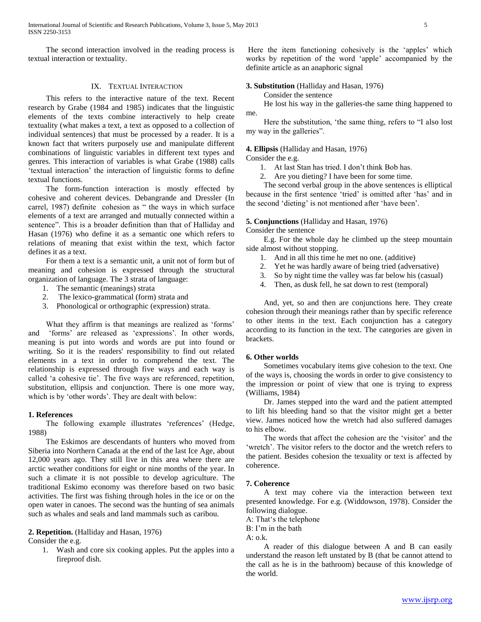The second interaction involved in the reading process is textual interaction or textuality.

# IX. TEXTUAL INTERACTION

 This refers to the interactive nature of the text. Recent research by Grabe (1984 and 1985) indicates that the linguistic elements of the texts combine interactively to help create textuality (what makes a text, a text as opposed to a collection of individual sentences) that must be processed by a reader. It is a known fact that writers purposely use and manipulate different combinations of linguistic variables in different text types and genres. This interaction of variables is what Grabe (1988) calls 'textual interaction' the interaction of linguistic forms to define textual functions.

 The form-function interaction is mostly effected by cohesive and coherent devices. Debangrande and Dressler (In carrel, 1987) definite cohesion as " the ways in which surface elements of a text are arranged and mutually connected within a sentence". This is a broader definition than that of Halliday and Hasan (1976) who define it as a semantic one which refers to relations of meaning that exist within the text, which factor defines it as a text.

 For them a text is a semantic unit, a unit not of form but of meaning and cohesion is expressed through the structural organization of language. The 3 strata of language:

- 1. The semantic (meanings) strata
- 2. The lexico-grammatical (form) strata and
- 3. Phonological or orthographic (expression) strata.

 What they affirm is that meanings are realized as 'forms' and 'forms' are released as 'expressions'. In other words, meaning is put into words and words are put into found or writing. So it is the readers' responsibility to find out related elements in a text in order to comprehend the text. The relationship is expressed through five ways and each way is called 'a cohesive tie'. The five ways are referenced, repetition, substitution, ellipsis and conjunction. There is one more way, which is by 'other words'. They are dealt with below:

#### **1. References**

 The following example illustrates 'references' (Hedge, 1988)

 The Eskimos are descendants of hunters who moved from Siberia into Northern Canada at the end of the last Ice Age, about 12,000 years ago. They still live in this area where there are arctic weather conditions for eight or nine months of the year. In such a climate it is not possible to develop agriculture. The traditional Eskimo economy was therefore based on two basic activities. The first was fishing through holes in the ice or on the open water in canoes. The second was the hunting of sea animals such as whales and seals and land mammals such as caribou.

#### **2. Repetition.** (Halliday and Hasan, 1976)

Consider the e.g.

1. Wash and core six cooking apples. Put the apples into a fireproof dish.

Here the item functioning cohesively is the 'apples' which works by repetition of the word 'apple' accompanied by the definite article as an anaphoric signal

**3. Substitution** (Halliday and Hasan, 1976)

#### Consider the sentence

 He lost his way in the galleries-the same thing happened to me.

 Here the substitution, 'the same thing, refers to "I also lost my way in the galleries".

#### **4. Ellipsis** (Halliday and Hasan, 1976)

Consider the e.g.

- 1. At last Stan has tried. I don't think Bob has.
- 2. Are you dieting? I have been for some time.

 The second verbal group in the above sentences is elliptical because in the first sentence 'tried' is omitted after 'has' and in the second 'dieting' is not mentioned after 'have been'.

# **5. Conjunctions** (Halliday and Hasan, 1976)

Consider the sentence

 E.g. For the whole day he climbed up the steep mountain side almost without stopping.

- 1. And in all this time he met no one. (additive)
- 2. Yet he was hardly aware of being tried (adversative)
- 3. So by night time the valley was far below his (casual)
- 4. Then, as dusk fell, he sat down to rest (temporal)

 And, yet, so and then are conjunctions here. They create cohesion through their meanings rather than by specific reference to other items in the text. Each conjunction has a category according to its function in the text. The categories are given in brackets.

## **6. Other worlds**

 Sometimes vocabulary items give cohesion to the text. One of the ways is, choosing the words in order to give consistency to the impression or point of view that one is trying to express (Williams, 1984)

 Dr. James stepped into the ward and the patient attempted to lift his bleeding hand so that the visitor might get a better view. James noticed how the wretch had also suffered damages to his elbow.

 The words that affect the cohesion are the 'visitor' and the 'wretch'. The visitor refers to the doctor and the wretch refers to the patient. Besides cohesion the texuality or text is affected by coherence.

## **7. Coherence**

 A text may cohere via the interaction between text presented knowledge. For e.g. (Widdowson, 1978). Consider the following dialogue.

A: That's the telephone

B: I'm in the bath

 $A: \Omega$ .

 A reader of this dialogue between A and B can easily understand the reason left unstated by B (that be cannot attend to the call as he is in the bathroom) because of this knowledge of the world.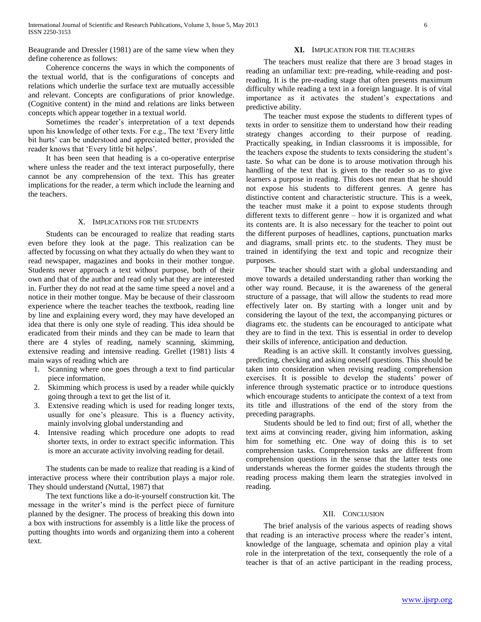Beaugrande and Dressler (1981) are of the same view when they define coherence as follows:

 Coherence concerns the ways in which the components of the textual world, that is the configurations of concepts and relations which underlie the surface text are mutually accessible and relevant. Concepts are configurations of prior knowledge. (Cognitive content) in the mind and relations are links between concepts which appear together in a textual world.

 Sometimes the reader's interpretation of a text depends upon his knowledge of other texts. For e.g., The text 'Every little bit hurts' can be understood and appreciated better, provided the reader knows that 'Every little bit helps'.

 It has been seen that heading is a co-operative enterprise where unless the reader and the text interact purposefully, there cannot be any comprehension of the text. This has greater implications for the reader, a term which include the learning and the teachers.

#### X. IMPLICATIONS FOR THE STUDENTS

 Students can be encouraged to realize that reading starts even before they look at the page. This realization can be affected by focussing on what they actually do when they want to read newspaper, magazines and books in their mother tongue. Students never approach a text without purpose, both of their own and that of the author and read only what they are interested in. Further they do not read at the same time speed a novel and a notice in their mother tongue. May be because of their classroom experience where the teacher teaches the textbook, reading line by line and explaining every word, they may have developed an idea that there is only one style of reading. This idea should be eradicated from their minds and they can be made to learn that there are 4 styles of reading, namely scanning, skimming, extensive reading and intensive reading. Grellet (1981) lists 4 main ways of reading which are

- 1. Scanning where one goes through a text to find particular piece information.
- 2. Skimming which process is used by a reader while quickly going through a text to get the list of it.
- 3. Extensive reading which is used for reading longer texts, usually for one's pleasure. This is a fluency activity, mainly involving global understanding and
- 4. Intensive reading which procedure one adopts to read shorter texts, in order to extract specific information. This is more an accurate activity involving reading for detail.

 The students can be made to realize that reading is a kind of interactive process where their contribution plays a major role. They should understand (Nuttal, 1987) that

 The text functions like a do-it-yourself construction kit. The message in the writer's mind is the perfect piece of furniture planned by the designer. The process of breaking this down into a box with instructions for assembly is a little like the process of putting thoughts into words and organizing them into a coherent text.

## **XI.** IMPLICATION FOR THE TEACHERS

 The teachers must realize that there are 3 broad stages in reading an unfamiliar text: pre-reading, while-reading and postreading. It is the pre-reading stage that often presents maximum difficulty while reading a text in a foreign language. It is of vital importance as it activates the student's expectations and predictive ability.

 The teacher must expose the students to different types of texts in order to sensitize them to understand how their reading strategy changes according to their purpose of reading. Practically speaking, in Indian classrooms it is impossible, for the teachers expose the students to texts considering the student's taste. So what can be done is to arouse motivation through his handling of the text that is given to the reader so as to give learners a purpose in reading. This does not mean that he should not expose his students to different genres. A genre has distinctive content and characteristic structure. This is a week, the teacher must make it a point to expose students through different texts to different genre – how it is organized and what its contents are. It is also necessary for the teacher to point out the different purposes of headlines, captions, punctuation marks and diagrams, small prints etc. to the students. They must be trained in identifying the text and topic and recognize their purposes.

 The teacher should start with a global understanding and move towards a detailed understanding rather than working the other way round. Because, it is the awareness of the general structure of a passage, that will allow the students to read more effectively later on. By starting with a longer unit and by considering the layout of the text, the accompanying pictures or diagrams etc. the students can be encouraged to anticipate what they are to find in the text. This is essential in order to develop their skills of inference, anticipation and deduction.

 Reading is an active skill. It constantly involves guessing, predicting, checking and asking oneself questions. This should be taken into consideration when revising reading comprehension exercises. It is possible to develop the students' power of inference through systematic practice or to introduce questions which encourage students to anticipate the context of a text from its title and illustrations of the end of the story from the preceding paragraphs.

 Students should be led to find out; first of all, whether the text aims at convincing reader, giving him information, asking him for something etc. One way of doing this is to set comprehension tasks. Comprehension tasks are different from comprehension questions in the sense that the latter tests one understands whereas the former guides the students through the reading process making them learn the strategies involved in reading.

#### XII. CONCLUSION

 The brief analysis of the various aspects of reading shows that reading is an interactive process where the reader's intent, knowledge of the language, schemata and opinion play a vital role in the interpretation of the text, consequently the role of a teacher is that of an active participant in the reading process,